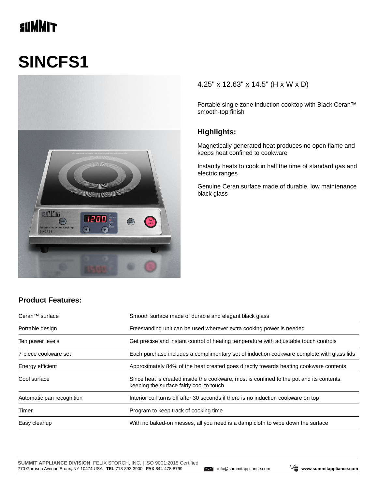# **SUMMIT**

# **SINCFS1**



#### 4.25" x 12.63" x 14.5" (H x W x D)

Portable single zone induction cooktop with Black Ceran™ smooth-top finish

#### **Highlights:**

Magnetically generated heat produces no open flame and keeps heat confined to cookware

Instantly heats to cook in half the time of standard gas and electric ranges

Genuine Ceran surface made of durable, low maintenance black glass

### **Product Features:**

| Ceran <sup>™</sup> surface | Smooth surface made of durable and elegant black glass                                                                               |  |
|----------------------------|--------------------------------------------------------------------------------------------------------------------------------------|--|
| Portable design            | Freestanding unit can be used wherever extra cooking power is needed                                                                 |  |
| Ten power levels           | Get precise and instant control of heating temperature with adjustable touch controls                                                |  |
| 7-piece cookware set       | Each purchase includes a complimentary set of induction cookware complete with glass lids                                            |  |
| Energy efficient           | Approximately 84% of the heat created goes directly towards heating cookware contents                                                |  |
| Cool surface               | Since heat is created inside the cookware, most is confined to the pot and its contents,<br>keeping the surface fairly cool to touch |  |
| Automatic pan recognition  | Interior coil turns off after 30 seconds if there is no induction cookware on top                                                    |  |
| Timer                      | Program to keep track of cooking time                                                                                                |  |
| Easy cleanup               | With no baked-on messes, all you need is a damp cloth to wipe down the surface                                                       |  |